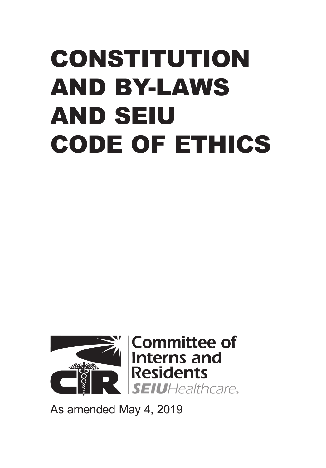# CONSTITUTION AND BY-LAWS AND SEIU CODE OF ETHICS



As amended May 4, 2019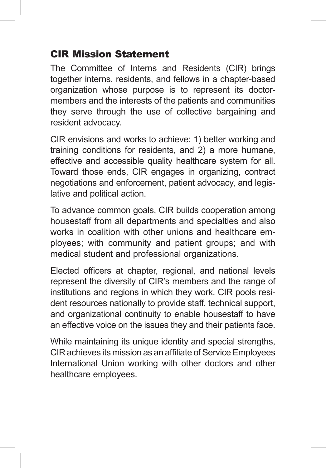# CIR Mission Statement

The Committee of Interns and Residents (CIR) brings together interns, residents, and fellows in a chapter-based organization whose purpose is to represent its doctormembers and the interests of the patients and communities they serve through the use of collective bargaining and resident advocacy.

CIR envisions and works to achieve: 1) better working and training conditions for residents, and 2) a more humane, effective and accessible quality healthcare system for all. Toward those ends, CIR engages in organizing, contract negotiations and enforcement, patient advocacy, and legislative and political action.

To advance common goals, CIR builds cooperation among housestaff from all departments and specialties and also works in coalition with other unions and healthcare employees; with community and patient groups; and with medical student and professional organizations.

Elected officers at chapter, regional, and national levels represent the diversity of CIR's members and the range of institutions and regions in which they work. CIR pools resident resources nationally to provide staff, technical support, and organizational continuity to enable housestaff to have an effective voice on the issues they and their patients face.

While maintaining its unique identity and special strengths, CIR achieves its mission as an affiliate of Service Employees International Union working with other doctors and other healthcare employees.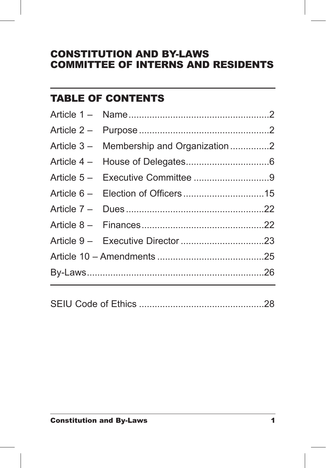# CONSTITUTION AND BY-LAWS COMMITTEE OF INTERNS AND RESIDENTS

# TABLE OF CONTENTS

|  | Article 3 - Membership and Organization2 |  |  |
|--|------------------------------------------|--|--|
|  |                                          |  |  |
|  |                                          |  |  |
|  |                                          |  |  |
|  |                                          |  |  |
|  |                                          |  |  |
|  |                                          |  |  |
|  |                                          |  |  |
|  |                                          |  |  |
|  |                                          |  |  |

|--|--|--|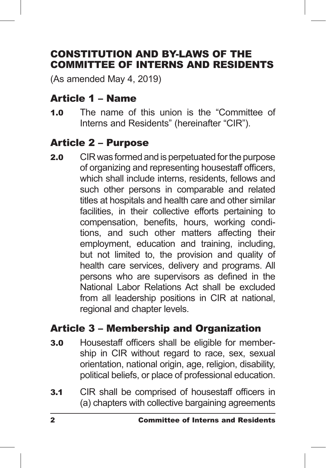# CONSTITUTION AND BY-LAWS OF THE COMMITTEE OF INTERNS AND RESIDENTS

(As amended May 4, 2019)

# Article 1 – Name

1.0 The name of this union is the "Committee of Interns and Residents" (hereinafter "CIR").

# Article 2 – Purpose

2.0 CIR was formed and is perpetuated for the purpose of organizing and representing housestaff officers, which shall include interns, residents, fellows and such other persons in comparable and related titles at hospitals and health care and other similar facilities, in their collective efforts pertaining to compensation, benefits, hours, working conditions, and such other matters affecting their employment, education and training, including, but not limited to, the provision and quality of health care services, delivery and programs. All persons who are supervisors as defined in the National Labor Relations Act shall be excluded from all leadership positions in CIR at national, regional and chapter levels.

# Article 3 – Membership and Organization

- 3.0 Housestaff officers shall be eligible for membership in CIR without regard to race, sex, sexual orientation, national origin, age, religion, disability, political beliefs, or place of professional education.
- **3.1** CIR shall be comprised of housestaff officers in (a) chapters with collective bargaining agreements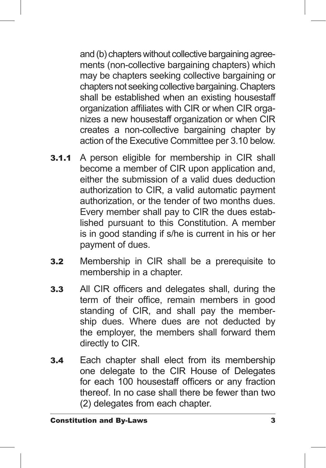and (b) chapters without collective bargaining agreements (non-collective bargaining chapters) which may be chapters seeking collective bargaining or chapters not seeking collective bargaining. Chapters shall be established when an existing housestaff organization affiliates with CIR or when CIR organizes a new housestaff organization or when CIR creates a non-collective bargaining chapter by action of the Executive Committee per 3.10 below.

- **3.1.1** A person eligible for membership in CIR shall become a member of CIR upon application and, either the submission of a valid dues deduction authorization to CIR, a valid automatic payment authorization, or the tender of two months dues. Every member shall pay to CIR the dues established pursuant to this Constitution. A member is in good standing if s/he is current in his or her payment of dues.
- **3.2** Membership in CIR shall be a prerequisite to membership in a chapter.
- **3.3** All CIR officers and delegates shall, during the term of their office, remain members in good standing of CIR, and shall pay the membership dues. Where dues are not deducted by the employer, the members shall forward them directly to CIR.
- **3.4** Each chapter shall elect from its membership one delegate to the CIR House of Delegates for each 100 housestaff officers or any fraction thereof. In no case shall there be fewer than two (2) delegates from each chapter.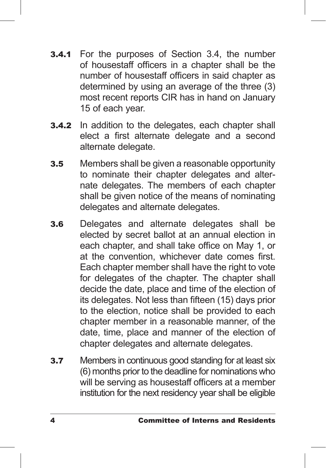- **3.4.1** For the purposes of Section 3.4, the number of housestaff officers in a chapter shall be the number of housestaff officers in said chapter as determined by using an average of the three (3) most recent reports CIR has in hand on January 15 of each year.
- **3.4.2** In addition to the delegates, each chapter shall elect a first alternate delegate and a second alternate delegate.
- **3.5** Members shall be given a reasonable opportunity to nominate their chapter delegates and alternate delegates. The members of each chapter shall be given notice of the means of nominating delegates and alternate delegates.
- 3.6 Delegates and alternate delegates shall be elected by secret ballot at an annual election in each chapter, and shall take office on May 1, or at the convention, whichever date comes first. Each chapter member shall have the right to vote for delegates of the chapter. The chapter shall decide the date, place and time of the election of its delegates. Not less than fifteen (15) days prior to the election, notice shall be provided to each chapter member in a reasonable manner, of the date, time, place and manner of the election of chapter delegates and alternate delegates.
- **3.7** Members in continuous good standing for at least six (6) months prior to the deadline for nominations who will be serving as housestaff officers at a member institution for the next residency year shall be eligible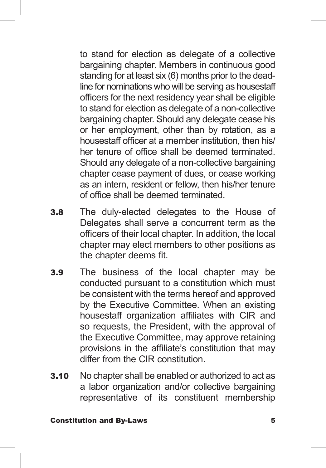to stand for election as delegate of a collective bargaining chapter. Members in continuous good standing for at least six (6) months prior to the deadline for nominations who will be serving as housestaff officers for the next residency year shall be eligible to stand for election as delegate of a non-collective bargaining chapter. Should any delegate cease his or her employment, other than by rotation, as a housestaff officer at a member institution, then his/ her tenure of office shall be deemed terminated. Should any delegate of a non-collective bargaining chapter cease payment of dues, or cease working as an intern, resident or fellow, then his/her tenure of office shall be deemed terminated.

- **3.8** The duly-elected delegates to the House of Delegates shall serve a concurrent term as the officers of their local chapter. In addition, the local chapter may elect members to other positions as the chapter deems fit.
- **3.9** The business of the local chapter may be conducted pursuant to a constitution which must be consistent with the terms hereof and approved by the Executive Committee. When an existing housestaff organization affiliates with CIR and so requests, the President, with the approval of the Executive Committee, may approve retaining provisions in the affiliate's constitution that may differ from the CIR constitution.
- **3.10** No chapter shall be enabled or authorized to act as a labor organization and/or collective bargaining representative of its constituent membership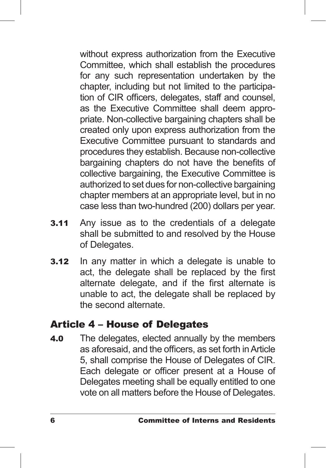without express authorization from the Executive Committee, which shall establish the procedures for any such representation undertaken by the chapter, including but not limited to the participation of CIR officers, delegates, staff and counsel, as the Executive Committee shall deem appropriate. Non-collective bargaining chapters shall be created only upon express authorization from the Executive Committee pursuant to standards and procedures they establish. Because non-collective bargaining chapters do not have the benefits of collective bargaining, the Executive Committee is authorized to set dues for non-collective bargaining chapter members at an appropriate level, but in no case less than two-hundred (200) dollars per year.

- **3.11** Any issue as to the credentials of a delegate shall be submitted to and resolved by the House of Delegates.
- **3.12** In any matter in which a delegate is unable to act, the delegate shall be replaced by the first alternate delegate, and if the first alternate is unable to act, the delegate shall be replaced by the second alternate.

# Article 4 – House of Delegates

4.0 The delegates, elected annually by the members as aforesaid, and the officers, as set forth in Article 5, shall comprise the House of Delegates of CIR. Each delegate or officer present at a House of Delegates meeting shall be equally entitled to one vote on all matters before the House of Delegates.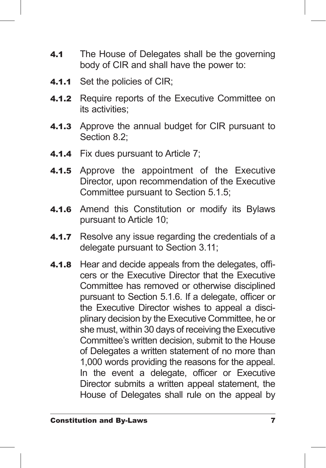- 4.1 The House of Delegates shall be the governing body of CIR and shall have the power to:
- 4.1.1 Set the policies of CIR;
- 4.1.2 Require reports of the Executive Committee on its activities;
- 4.1.3 Approve the annual budget for CIR pursuant to Section 8.2;
- 4.1.4 Fix dues pursuant to Article 7:
- 4.1.5 Approve the appointment of the Executive Director, upon recommendation of the Executive Committee pursuant to Section 5.1.5;
- 4.1.6 Amend this Constitution or modify its Bylaws pursuant to Article 10;
- 4.1.7 Resolve any issue regarding the credentials of a delegate pursuant to Section 3.11;
- 4.1.8 Hear and decide appeals from the delegates, officers or the Executive Director that the Executive Committee has removed or otherwise disciplined pursuant to Section 5.1.6. If a delegate, officer or the Executive Director wishes to appeal a disciplinary decision by the Executive Committee, he or she must, within 30 days of receiving the Executive Committee's written decision, submit to the House of Delegates a written statement of no more than 1,000 words providing the reasons for the appeal. In the event a delegate, officer or Executive Director submits a written appeal statement, the House of Delegates shall rule on the appeal by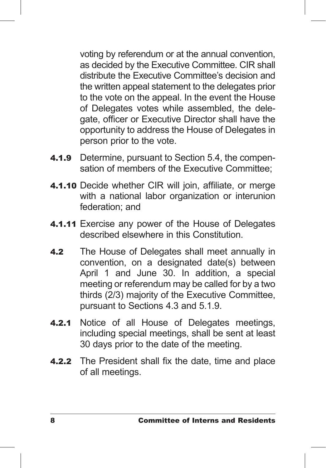voting by referendum or at the annual convention, as decided by the Executive Committee. CIR shall distribute the Executive Committee's decision and the written appeal statement to the delegates prior to the vote on the appeal. In the event the House of Delegates votes while assembled, the delegate, officer or Executive Director shall have the opportunity to address the House of Delegates in person prior to the vote.

- 4.1.9 Determine, pursuant to Section 5.4, the compensation of members of the Executive Committee;
- 4.1.10 Decide whether CIR will join, affiliate, or merge with a national labor organization or interunion federation; and
- 4.1.11 Exercise any power of the House of Delegates described elsewhere in this Constitution.
- 4.2 The House of Delegates shall meet annually in convention, on a designated date(s) between April 1 and June 30. In addition, a special meeting or referendum may be called for by a two thirds (2/3) majority of the Executive Committee, pursuant to Sections 4.3 and 5.1.9.
- 4.2.1 Notice of all House of Delegates meetings, including special meetings, shall be sent at least 30 days prior to the date of the meeting.
- **4.2.2** The President shall fix the date, time and place of all meetings.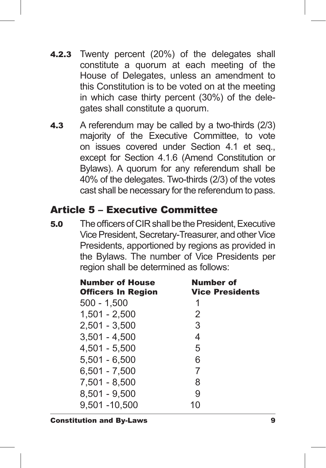- 4.2.3 Twenty percent (20%) of the delegates shall constitute a quorum at each meeting of the House of Delegates, unless an amendment to this Constitution is to be voted on at the meeting in which case thirty percent (30%) of the delegates shall constitute a quorum.
- 4.3 A referendum may be called by a two-thirds (2/3) majority of the Executive Committee, to vote on issues covered under Section 4.1 et seq., except for Section 4.1.6 (Amend Constitution or Bylaws). A quorum for any referendum shall be 40% of the delegates. Two-thirds (2/3) of the votes cast shall be necessary for the referendum to pass.

# Article 5 – Executive Committee

5.0 The officers of CIR shall be the President, Executive Vice President, Secretary-Treasurer, and other Vice Presidents, apportioned by regions as provided in the Bylaws. The number of Vice Presidents per region shall be determined as follows:

| <b>Number of House</b><br><b>Officers In Region</b> | <b>Number of</b><br><b>Vice Presidents</b> |
|-----------------------------------------------------|--------------------------------------------|
| $500 - 1,500$                                       | 1                                          |
| $1,501 - 2,500$                                     | 2                                          |
| 2.501 - 3.500                                       | 3                                          |
| $3.501 - 4.500$                                     | 4                                          |
| 4.501 - 5.500                                       | 5                                          |
| $5,501 - 6,500$                                     | 6                                          |
| 6.501 - 7.500                                       | 7                                          |
| 7,501 - 8,500                                       | 8                                          |
| 8,501 - 9,500                                       | 9                                          |
| 9.501 -10.500                                       | 10                                         |
|                                                     |                                            |

Constitution and By-Laws 9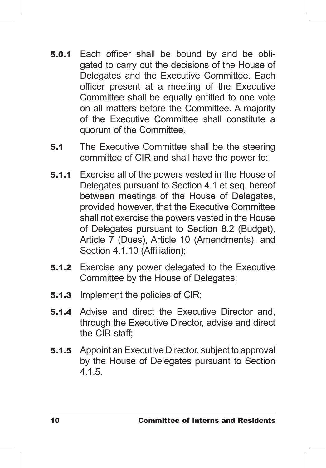- 5.0.1 Each officer shall be bound by and be obligated to carry out the decisions of the House of Delegates and the Executive Committee. Each officer present at a meeting of the Executive Committee shall be equally entitled to one vote on all matters before the Committee. A majority of the Executive Committee shall constitute a quorum of the Committee.
- **5.1** The Executive Committee shall be the steering committee of CIR and shall have the power to:
- **5.1.1** Exercise all of the powers vested in the House of Delegates pursuant to Section 4.1 et seq. hereof between meetings of the House of Delegates, provided however, that the Executive Committee shall not exercise the powers vested in the House of Delegates pursuant to Section 8.2 (Budget), Article 7 (Dues), Article 10 (Amendments), and Section 4.1.10 (Affiliation);
- **5.1.2** Exercise any power delegated to the Executive Committee by the House of Delegates;
- **5.1.3** Implement the policies of CIR;
- **5.1.4** Advise and direct the Executive Director and, through the Executive Director, advise and direct the CIR staff;
- **5.1.5** Appoint an Executive Director, subject to approval by the House of Delegates pursuant to Section 4.1.5.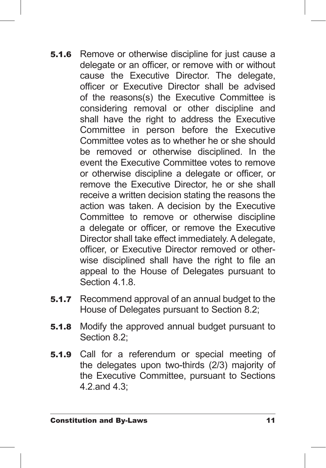- **5.1.6** Remove or otherwise discipline for just cause a delegate or an officer, or remove with or without cause the Executive Director. The delegate, officer or Executive Director shall be advised of the reasons(s) the Executive Committee is considering removal or other discipline and shall have the right to address the Executive Committee in person before the Executive Committee votes as to whether he or she should be removed or otherwise disciplined. In the event the Executive Committee votes to remove or otherwise discipline a delegate or officer, or remove the Executive Director, he or she shall receive a written decision stating the reasons the action was taken. A decision by the Executive Committee to remove or otherwise discipline a delegate or officer, or remove the Executive Director shall take effect immediately. A delegate, officer, or Executive Director removed or otherwise disciplined shall have the right to file an appeal to the House of Delegates pursuant to Section 4.1.8.
- **5.1.7** Recommend approval of an annual budget to the House of Delegates pursuant to Section 8.2;
- **5.1.8** Modify the approved annual budget pursuant to Section 8.2;
- 5.1.9 Call for a referendum or special meeting of the delegates upon two-thirds (2/3) majority of the Executive Committee, pursuant to Sections 4.2.and 4.3;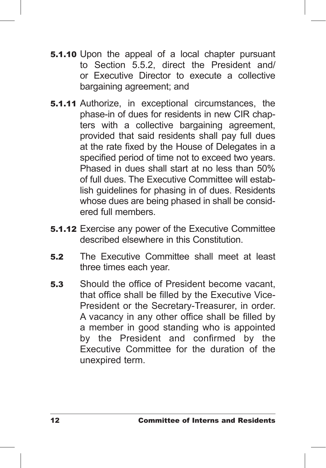- **5.1.10** Upon the appeal of a local chapter pursuant to Section 5.5.2, direct the President and/ or Executive Director to execute a collective bargaining agreement; and
- 5.1.11 Authorize, in exceptional circumstances, the phase-in of dues for residents in new CIR chapters with a collective bargaining agreement, provided that said residents shall pay full dues at the rate fixed by the House of Delegates in a specified period of time not to exceed two years. Phased in dues shall start at no less than 50% of full dues. The Executive Committee will establish guidelines for phasing in of dues. Residents whose dues are being phased in shall be considered full members.
- **5.1.12** Exercise any power of the Executive Committee described elsewhere in this Constitution.
- 5.2 The Executive Committee shall meet at least three times each year.
- **5.3** Should the office of President become vacant, that office shall be filled by the Executive Vice-President or the Secretary-Treasurer, in order. A vacancy in any other office shall be filled by a member in good standing who is appointed by the President and confirmed by the Executive Committee for the duration of the unexpired term.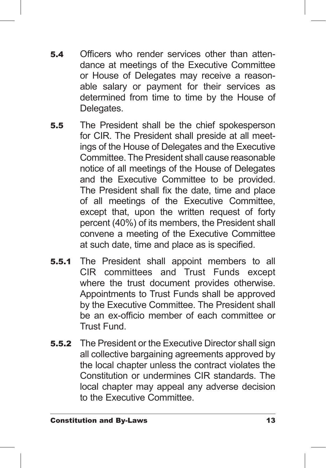- 5.4 Officers who render services other than attendance at meetings of the Executive Committee or House of Delegates may receive a reasonable salary or payment for their services as determined from time to time by the House of Delegates.
- **5.5** The President shall be the chief spokesperson for CIR. The President shall preside at all meetings of the House of Delegates and the Executive Committee. The President shall cause reasonable notice of all meetings of the House of Delegates and the Executive Committee to be provided. The President shall fix the date, time and place of all meetings of the Executive Committee, except that, upon the written request of forty percent (40%) of its members, the President shall convene a meeting of the Executive Committee at such date, time and place as is specified.
- **5.5.1** The President shall appoint members to all CIR committees and Trust Funds except where the trust document provides otherwise. Appointments to Trust Funds shall be approved by the Executive Committee. The President shall be an ex-officio member of each committee or Trust Fund.
- **5.5.2** The President or the Executive Director shall sign all collective bargaining agreements approved by the local chapter unless the contract violates the Constitution or undermines CIR standards. The local chapter may appeal any adverse decision to the Executive Committee.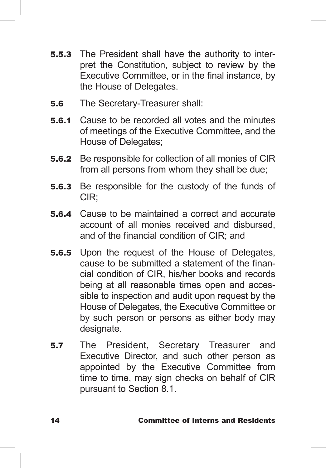- **5.5.3** The President shall have the authority to interpret the Constitution, subject to review by the Executive Committee, or in the final instance, by the House of Delegates.
- 5.6 The Secretary-Treasurer shall:
- 5.6.1 Cause to be recorded all votes and the minutes of meetings of the Executive Committee, and the House of Delegates;
- **5.6.2** Be responsible for collection of all monies of CIR from all persons from whom they shall be due;
- **5.6.3** Be responsible for the custody of the funds of CIR;
- 5.6.4 Cause to be maintained a correct and accurate account of all monies received and disbursed, and of the financial condition of CIR; and
- **5.6.5** Upon the request of the House of Delegates, cause to be submitted a statement of the financial condition of CIR, his/her books and records being at all reasonable times open and accessible to inspection and audit upon request by the House of Delegates, the Executive Committee or by such person or persons as either body may designate.
- 5.7 The President, Secretary Treasurer and Executive Director, and such other person as appointed by the Executive Committee from time to time, may sign checks on behalf of CIR pursuant to Section 8.1.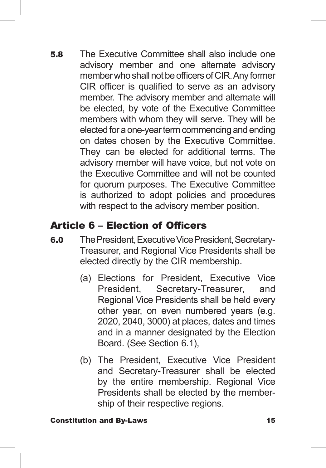5.8 The Executive Committee shall also include one advisory member and one alternate advisory member who shall not be officers of CIR. Any former CIR officer is qualified to serve as an advisory member. The advisory member and alternate will be elected, by vote of the Executive Committee members with whom they will serve. They will be elected for a one-year term commencing and ending on dates chosen by the Executive Committee. They can be elected for additional terms. The advisory member will have voice, but not vote on the Executive Committee and will not be counted for quorum purposes. The Executive Committee is authorized to adopt policies and procedures with respect to the advisory member position.

# Article 6 – Election of Officers

- 6.0 The President, Executive Vice President, Secretary-Treasurer, and Regional Vice Presidents shall be elected directly by the CIR membership.
	- (a) Elections for President, Executive Vice President, Secretary-Treasurer, and Regional Vice Presidents shall be held every other year, on even numbered years (e.g. 2020, 2040, 3000) at places, dates and times and in a manner designated by the Election Board. (See Section 6.1),
	- (b) The President, Executive Vice President and Secretary-Treasurer shall be elected by the entire membership. Regional Vice Presidents shall be elected by the membership of their respective regions.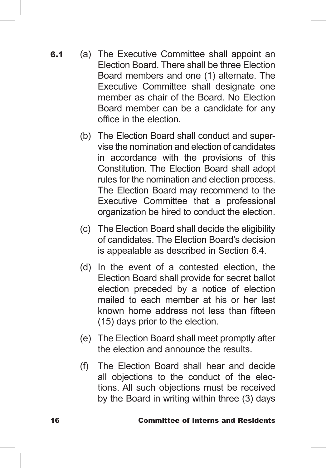- **6.1** (a) The Executive Committee shall appoint an Election Board. There shall be three Election Board members and one (1) alternate. The Executive Committee shall designate one member as chair of the Board. No Election Board member can be a candidate for any office in the election.
	- (b) The Election Board shall conduct and supervise the nomination and election of candidates in accordance with the provisions of this Constitution. The Election Board shall adopt rules for the nomination and election process. The Election Board may recommend to the Executive Committee that a professional organization be hired to conduct the election.
	- (c) The Election Board shall decide the eligibility of candidates. The Election Board's decision is appealable as described in Section 6.4.
	- (d) In the event of a contested election, the Election Board shall provide for secret ballot election preceded by a notice of election mailed to each member at his or her last known home address not less than fifteen (15) days prior to the election.
	- (e) The Election Board shall meet promptly after the election and announce the results.
	- (f) The Election Board shall hear and decide all objections to the conduct of the elections. All such objections must be received by the Board in writing within three (3) days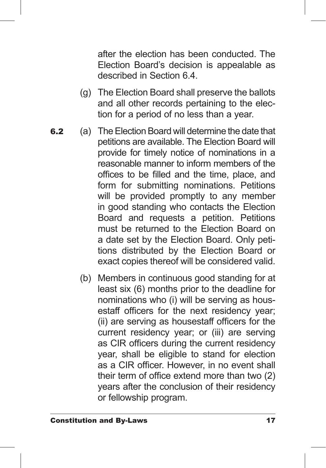after the election has been conducted. The Election Board's decision is appealable as described in Section 6.4.

- (g) The Election Board shall preserve the ballots and all other records pertaining to the election for a period of no less than a year.
- 6.2 (a) The Election Board will determine the date that petitions are available. The Election Board will provide for timely notice of nominations in a reasonable manner to inform members of the offices to be filled and the time, place, and form for submitting nominations. Petitions will be provided promptly to any member in good standing who contacts the Election Board and requests a petition. Petitions must be returned to the Election Board on a date set by the Election Board. Only petitions distributed by the Election Board or exact copies thereof will be considered valid.
	- (b) Members in continuous good standing for at least six (6) months prior to the deadline for nominations who (i) will be serving as housestaff officers for the next residency year; (ii) are serving as housestaff officers for the current residency year; or (iii) are serving as CIR officers during the current residency year, shall be eligible to stand for election as a CIR officer. However, in no event shall their term of office extend more than two (2) years after the conclusion of their residency or fellowship program.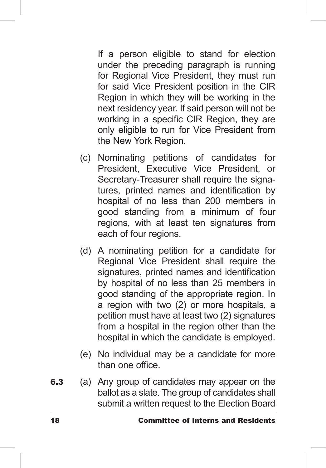If a person eligible to stand for election under the preceding paragraph is running for Regional Vice President, they must run for said Vice President position in the CIR Region in which they will be working in the next residency year. If said person will not be working in a specific CIR Region, they are only eligible to run for Vice President from the New York Region.

- (c) Nominating petitions of candidates for President, Executive Vice President, or Secretary-Treasurer shall require the signatures, printed names and identification by hospital of no less than 200 members in good standing from a minimum of four regions, with at least ten signatures from each of four regions.
- (d) A nominating petition for a candidate for Regional Vice President shall require the signatures, printed names and identification by hospital of no less than 25 members in good standing of the appropriate region. In a region with two (2) or more hospitals, a petition must have at least two (2) signatures from a hospital in the region other than the hospital in which the candidate is employed.
- (e) No individual may be a candidate for more than one office.
- 6.3 (a) Any group of candidates may appear on the ballot as a slate. The group of candidates shall submit a written request to the Election Board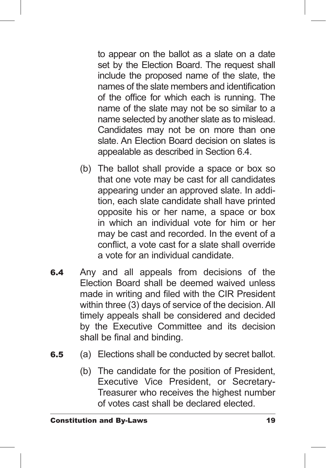to appear on the ballot as a slate on a date set by the Election Board. The request shall include the proposed name of the slate, the names of the slate members and identification of the office for which each is running. The name of the slate may not be so similar to a name selected by another slate as to mislead. Candidates may not be on more than one slate. An Election Board decision on slates is appealable as described in Section 6.4.

- (b) The ballot shall provide a space or box so that one vote may be cast for all candidates appearing under an approved slate. In addition, each slate candidate shall have printed opposite his or her name, a space or box in which an individual vote for him or her may be cast and recorded. In the event of a conflict, a vote cast for a slate shall override a vote for an individual candidate.
- 6.4 Any and all appeals from decisions of the Election Board shall be deemed waived unless made in writing and filed with the CIR President within three (3) days of service of the decision. All timely appeals shall be considered and decided by the Executive Committee and its decision shall be final and binding.
- **6.5** (a) Elections shall be conducted by secret ballot.
	- (b) The candidate for the position of President, Executive Vice President, or Secretary-Treasurer who receives the highest number of votes cast shall be declared elected.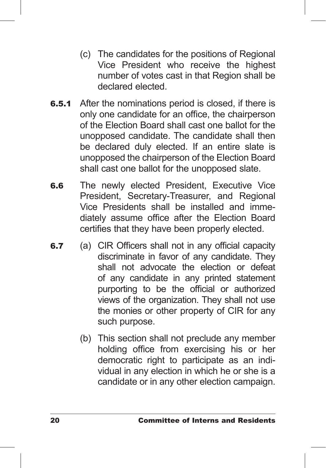- (c) The candidates for the positions of Regional Vice President who receive the highest number of votes cast in that Region shall be declared elected.
- 6.5.1 After the nominations period is closed, if there is only one candidate for an office, the chairperson of the Election Board shall cast one ballot for the unopposed candidate. The candidate shall then be declared duly elected. If an entire slate is unopposed the chairperson of the Election Board shall cast one ballot for the unopposed slate.
- **6.6** The newly elected President, Executive Vice President, Secretary-Treasurer, and Regional Vice Presidents shall be installed and immediately assume office after the Election Board certifies that they have been properly elected.
- 6.7 (a) CIR Officers shall not in any official capacity discriminate in favor of any candidate. They shall not advocate the election or defeat of any candidate in any printed statement purporting to be the official or authorized views of the organization. They shall not use the monies or other property of CIR for any such purpose.
	- (b) This section shall not preclude any member holding office from exercising his or her democratic right to participate as an individual in any election in which he or she is a candidate or in any other election campaign.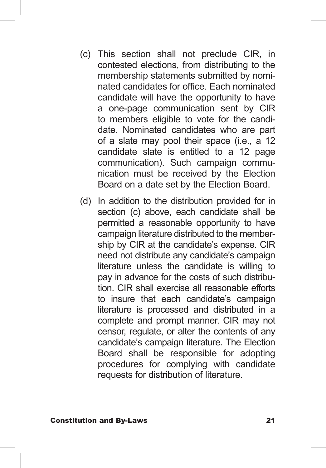- (c) This section shall not preclude CIR, in contested elections, from distributing to the membership statements submitted by nominated candidates for office. Each nominated candidate will have the opportunity to have a one-page communication sent by CIR to members eligible to vote for the candidate. Nominated candidates who are part of a slate may pool their space (i.e., a 12 candidate slate is entitled to a 12 page communication). Such campaign communication must be received by the Election Board on a date set by the Election Board.
- (d) In addition to the distribution provided for in section (c) above, each candidate shall be permitted a reasonable opportunity to have campaign literature distributed to the membership by CIR at the candidate's expense. CIR need not distribute any candidate's campaign literature unless the candidate is willing to pay in advance for the costs of such distribution. CIR shall exercise all reasonable efforts to insure that each candidate's campaign literature is processed and distributed in a complete and prompt manner. CIR may not censor, regulate, or alter the contents of any candidate's campaign literature. The Election Board shall be responsible for adopting procedures for complying with candidate requests for distribution of literature.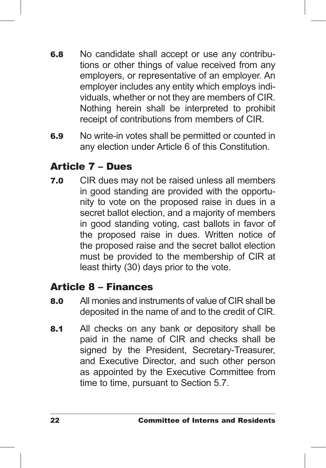- **6.8** No candidate shall accept or use any contributions or other things of value received from any employers, or representative of an employer. An employer includes any entity which employs individuals, whether or not they are members of CIR. Nothing herein shall be interpreted to prohibit receipt of contributions from members of CIR.
- 6.9 No write-in votes shall be permitted or counted in any election under Article 6 of this Constitution.

# Article 7 – Dues

7.0 CIR dues may not be raised unless all members in good standing are provided with the opportunity to vote on the proposed raise in dues in a secret ballot election, and a majority of members in good standing voting, cast ballots in favor of the proposed raise in dues. Written notice of the proposed raise and the secret ballot election must be provided to the membership of CIR at least thirty (30) days prior to the vote.

# Article 8 – Finances

- 8.0 All monies and instruments of value of CIR shall be deposited in the name of and to the credit of CIR.
- 8.1 All checks on any bank or depository shall be paid in the name of CIR and checks shall be signed by the President, Secretary-Treasurer, and Executive Director, and such other person as appointed by the Executive Committee from time to time, pursuant to Section 5.7.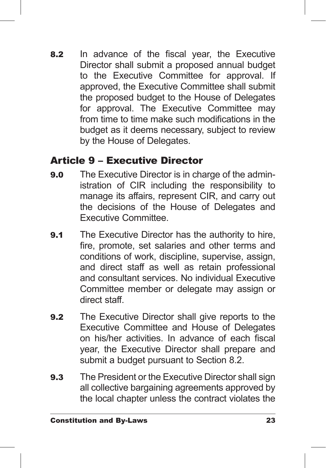8.2 In advance of the fiscal year, the Executive Director shall submit a proposed annual budget to the Executive Committee for approval. If approved, the Executive Committee shall submit the proposed budget to the House of Delegates for approval. The Executive Committee may from time to time make such modifications in the budget as it deems necessary, subject to review by the House of Delegates.

# Article 9 – Executive Director

- **9.0** The Executive Director is in charge of the administration of CIR including the responsibility to manage its affairs, represent CIR, and carry out the decisions of the House of Delegates and Executive Committee.
- **9.1** The Executive Director has the authority to hire, fire, promote, set salaries and other terms and conditions of work, discipline, supervise, assign, and direct staff as well as retain professional and consultant services. No individual Executive Committee member or delegate may assign or direct staff.
- **9.2** The Executive Director shall give reports to the Executive Committee and House of Delegates on his/her activities. In advance of each fiscal year, the Executive Director shall prepare and submit a budget pursuant to Section 8.2.
- **9.3** The President or the Executive Director shall sign all collective bargaining agreements approved by the local chapter unless the contract violates the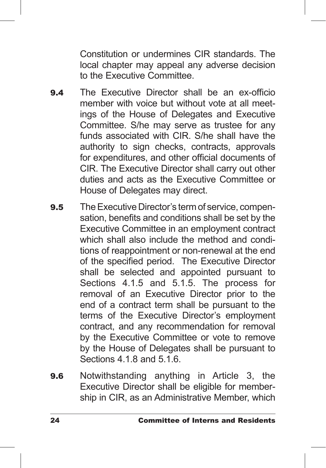Constitution or undermines CIR standards. The local chapter may appeal any adverse decision to the Executive Committee.

- 9.4 The Executive Director shall be an ex-officio member with voice but without vote at all meetings of the House of Delegates and Executive Committee. S/he may serve as trustee for any funds associated with CIR. S/he shall have the authority to sign checks, contracts, approvals for expenditures, and other official documents of CIR. The Executive Director shall carry out other duties and acts as the Executive Committee or House of Delegates may direct.
- **9.5** The Executive Director's term of service, compensation, benefits and conditions shall be set by the Executive Committee in an employment contract which shall also include the method and conditions of reappointment or non-renewal at the end of the specified period. The Executive Director shall be selected and appointed pursuant to Sections 4.1.5 and 5.1.5. The process for removal of an Executive Director prior to the end of a contract term shall be pursuant to the terms of the Executive Director's employment contract, and any recommendation for removal by the Executive Committee or vote to remove by the House of Delegates shall be pursuant to Sections 4.1.8 and 5.1.6.
- 9.6 Notwithstanding anything in Article 3, the Executive Director shall be eligible for membership in CIR, as an Administrative Member, which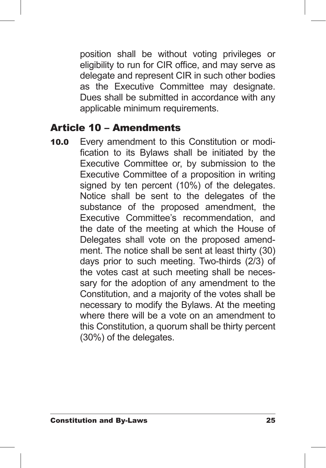position shall be without voting privileges or eligibility to run for CIR office, and may serve as delegate and represent CIR in such other bodies as the Executive Committee may designate. Dues shall be submitted in accordance with any applicable minimum requirements.

## Article 10 – Amendments

10.0 Every amendment to this Constitution or modification to its Bylaws shall be initiated by the Executive Committee or, by submission to the Executive Committee of a proposition in writing signed by ten percent (10%) of the delegates. Notice shall be sent to the delegates of the substance of the proposed amendment, the Executive Committee's recommendation, and the date of the meeting at which the House of Delegates shall vote on the proposed amendment. The notice shall be sent at least thirty (30) days prior to such meeting. Two-thirds (2/3) of the votes cast at such meeting shall be necessary for the adoption of any amendment to the Constitution, and a majority of the votes shall be necessary to modify the Bylaws. At the meeting where there will be a vote on an amendment to this Constitution, a quorum shall be thirty percent (30%) of the delegates.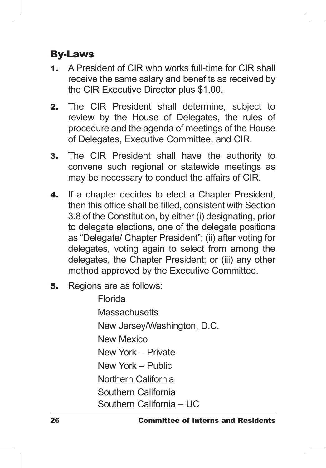# By-Laws

- 1. A President of CIR who works full-time for CIR shall receive the same salary and benefits as received by the CIR Executive Director plus \$1.00.
- **2.** The CIR President shall determine, subject to review by the House of Delegates, the rules of procedure and the agenda of meetings of the House of Delegates, Executive Committee, and CIR.
- **3.** The CIR President shall have the authority to convene such regional or statewide meetings as may be necessary to conduct the affairs of CIR.
- 4. If a chapter decides to elect a Chapter President, then this office shall be filled, consistent with Section 3.8 of the Constitution, by either (i) designating, prior to delegate elections, one of the delegate positions as "Delegate/ Chapter President"; (ii) after voting for delegates, voting again to select from among the delegates, the Chapter President; or (iii) any other method approved by the Executive Committee.
- 5. Regions are as follows:

 Florida **Massachusetts**  New Jersey/Washington, D.C. New Mexico New York – Private New York – Public Northern California Southern California Southern California – UC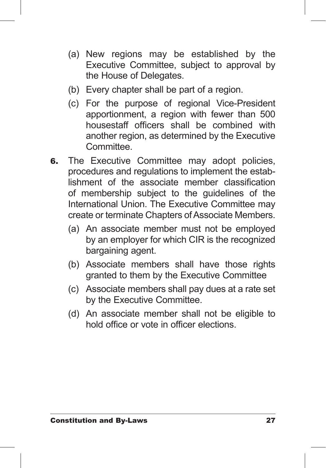- (a) New regions may be established by the Executive Committee, subject to approval by the House of Delegates.
- (b) Every chapter shall be part of a region.
- (c) For the purpose of regional Vice-President apportionment, a region with fewer than 500 housestaff officers shall be combined with another region, as determined by the Executive Committee.
- 6. The Executive Committee may adopt policies, procedures and regulations to implement the establishment of the associate member classification of membership subject to the guidelines of the International Union. The Executive Committee may create or terminate Chapters of Associate Members.
	- (a) An associate member must not be employed by an employer for which CIR is the recognized bargaining agent.
	- (b) Associate members shall have those rights granted to them by the Executive Committee
	- (c) Associate members shall pay dues at a rate set by the Executive Committee.
	- (d) An associate member shall not be eligible to hold office or vote in officer elections.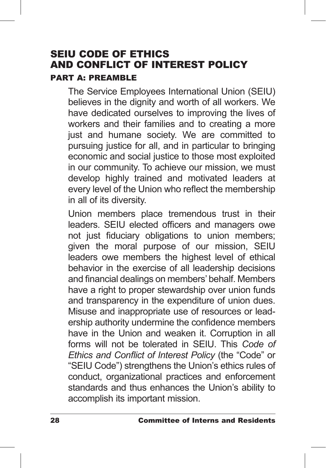## SEIU CODE OF ETHICS AND CONFLICT OF INTEREST POLICY PART A: PREAMBLE

The Service Employees International Union (SEIU) believes in the dignity and worth of all workers. We have dedicated ourselves to improving the lives of workers and their families and to creating a more just and humane society. We are committed to pursuing justice for all, and in particular to bringing economic and social justice to those most exploited in our community. To achieve our mission, we must develop highly trained and motivated leaders at every level of the Union who reflect the membership in all of its diversity.

Union members place tremendous trust in their leaders. SEIU elected officers and managers owe not just fiduciary obligations to union members; given the moral purpose of our mission, SEIU leaders owe members the highest level of ethical behavior in the exercise of all leadership decisions and financial dealings on members' behalf. Members have a right to proper stewardship over union funds and transparency in the expenditure of union dues. Misuse and inappropriate use of resources or leadership authority undermine the confidence members have in the Union and weaken it. Corruption in all forms will not be tolerated in SEIU. This *Code of Ethics and Conflict of Interest Policy* (the "Code" or "SEIU Code") strengthens the Union's ethics rules of conduct, organizational practices and enforcement standards and thus enhances the Union's ability to accomplish its important mission.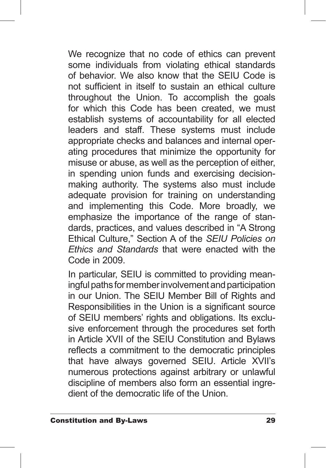We recognize that no code of ethics can prevent some individuals from violating ethical standards of behavior. We also know that the SEIU Code is not sufficient in itself to sustain an ethical culture throughout the Union. To accomplish the goals for which this Code has been created, we must establish systems of accountability for all elected leaders and staff. These systems must include appropriate checks and balances and internal operating procedures that minimize the opportunity for misuse or abuse, as well as the perception of either, in spending union funds and exercising decisionmaking authority. The systems also must include adequate provision for training on understanding and implementing this Code. More broadly, we emphasize the importance of the range of standards, practices, and values described in "A Strong Ethical Culture," Section A of the *SEIU Policies on Ethics and Standards* that were enacted with the Code in 2009.

In particular, SEIU is committed to providing meaningful paths for member involvement and participation in our Union. The SEIU Member Bill of Rights and Responsibilities in the Union is a significant source of SEIU members' rights and obligations. Its exclusive enforcement through the procedures set forth in Article XVII of the SEIU Constitution and Bylaws reflects a commitment to the democratic principles that have always governed SEIU. Article XVII's numerous protections against arbitrary or unlawful discipline of members also form an essential ingredient of the democratic life of the Union.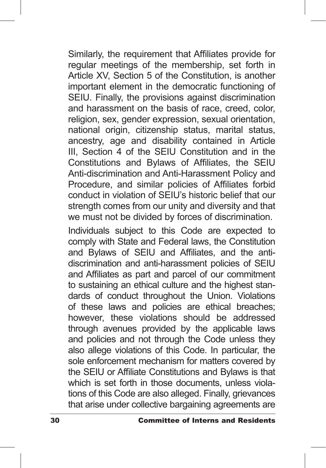Similarly, the requirement that Affiliates provide for regular meetings of the membership, set forth in Article XV, Section 5 of the Constitution, is another important element in the democratic functioning of SEIU. Finally, the provisions against discrimination and harassment on the basis of race, creed, color, religion, sex, gender expression, sexual orientation, national origin, citizenship status, marital status, ancestry, age and disability contained in Article III, Section 4 of the SEIU Constitution and in the Constitutions and Bylaws of Affiliates, the SEIU Anti-discrimination and Anti-Harassment Policy and Procedure, and similar policies of Affiliates forbid conduct in violation of SEIU's historic belief that our strength comes from our unity and diversity and that we must not be divided by forces of discrimination.

Individuals subject to this Code are expected to comply with State and Federal laws, the Constitution and Bylaws of SEIU and Affiliates, and the antidiscrimination and anti-harassment policies of SEIU and Affiliates as part and parcel of our commitment to sustaining an ethical culture and the highest standards of conduct throughout the Union. Violations of these laws and policies are ethical breaches; however, these violations should be addressed through avenues provided by the applicable laws and policies and not through the Code unless they also allege violations of this Code. In particular, the sole enforcement mechanism for matters covered by the SEIU or Affiliate Constitutions and Bylaws is that which is set forth in those documents, unless violations of this Code are also alleged. Finally, grievances that arise under collective bargaining agreements are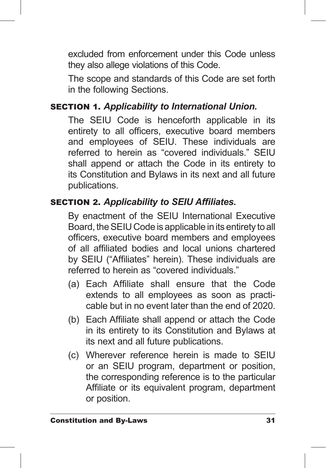excluded from enforcement under this Code unless they also allege violations of this Code.

The scope and standards of this Code are set forth in the following Sections.

#### SECTION 1. *Applicability to International Union.*

The SEIU Code is henceforth applicable in its entirety to all officers, executive board members and employees of SEIU. These individuals are referred to herein as "covered individuals." SEIU shall append or attach the Code in its entirety to its Constitution and Bylaws in its next and all future publications.

## SECTION 2. *Applicability to SEIU Affiliates.*

By enactment of the SEIU International Executive Board, the SEIU Code is applicable in its entirety to all officers, executive board members and employees of all affiliated bodies and local unions chartered by SEIU ("Affiliates" herein). These individuals are referred to herein as "covered individuals."

- (a) Each Affiliate shall ensure that the Code extends to all employees as soon as practicable but in no event later than the end of 2020.
- (b) Each Affiliate shall append or attach the Code in its entirety to its Constitution and Bylaws at its next and all future publications.
- (c) Wherever reference herein is made to SEIU or an SEIU program, department or position, the corresponding reference is to the particular Affiliate or its equivalent program, department or position.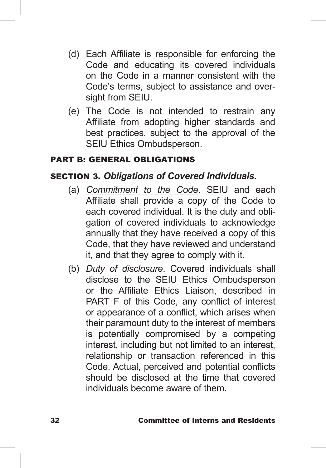- (d) Each Affiliate is responsible for enforcing the Code and educating its covered individuals on the Code in a manner consistent with the Code's terms, subject to assistance and oversight from SEIU.
- (e) The Code is not intended to restrain any Affiliate from adopting higher standards and best practices, subject to the approval of the SEIU Ethics Ombudsperson.

#### PART B: GENERAL OBLIGATIONS

#### SECTION 3. *Obligations of Covered Individuals.*

- (a) *Commitment to the Code*. SEIU and each Affiliate shall provide a copy of the Code to each covered individual. It is the duty and obligation of covered individuals to acknowledge annually that they have received a copy of this Code, that they have reviewed and understand it, and that they agree to comply with it.
- (b) *Duty of disclosure*. Covered individuals shall disclose to the SEIU Ethics Ombudsperson or the Affiliate Ethics Liaison, described in PART F of this Code, any conflict of interest or appearance of a conflict, which arises when their paramount duty to the interest of members is potentially compromised by a competing interest, including but not limited to an interest, relationship or transaction referenced in this Code. Actual, perceived and potential conflicts should be disclosed at the time that covered individuals become aware of them.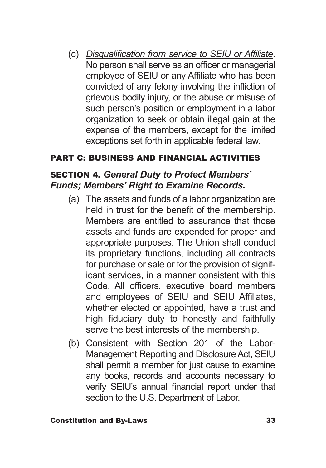(c) *Disqualification from service to SEIU or Affiliate*. No person shall serve as an officer or managerial employee of SEIU or any Affiliate who has been convicted of any felony involving the infliction of grievous bodily injury, or the abuse or misuse of such person's position or employment in a labor organization to seek or obtain illegal gain at the expense of the members, except for the limited exceptions set forth in applicable federal law.

#### PART C: BUSINESS AND FINANCIAL ACTIVITIES

#### SECTION 4. *General Duty to Protect Members' Funds; Members' Right to Examine Records.*

- (a) The assets and funds of a labor organization are held in trust for the benefit of the membership. Members are entitled to assurance that those assets and funds are expended for proper and appropriate purposes. The Union shall conduct its proprietary functions, including all contracts for purchase or sale or for the provision of significant services, in a manner consistent with this Code. All officers, executive board members and employees of SEIU and SEIU Affiliates, whether elected or appointed, have a trust and high fiduciary duty to honestly and faithfully serve the best interests of the membership.
- (b) Consistent with Section 201 of the Labor-Management Reporting and Disclosure Act, SEIU shall permit a member for just cause to examine any books, records and accounts necessary to verify SEIU's annual financial report under that section to the U.S. Department of Labor.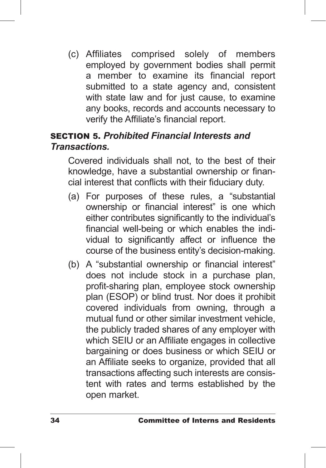(c) Affiliates comprised solely of members employed by government bodies shall permit a member to examine its financial report submitted to a state agency and, consistent with state law and for just cause, to examine any books, records and accounts necessary to verify the Affiliate's financial report.

## SECTION 5. *Prohibited Financial Interests and Transactions.*

Covered individuals shall not, to the best of their knowledge, have a substantial ownership or financial interest that conflicts with their fiduciary duty.

- (a) For purposes of these rules, a "substantial ownership or financial interest" is one which either contributes significantly to the individual's financial well-being or which enables the individual to significantly affect or influence the course of the business entity's decision-making.
- (b) A "substantial ownership or financial interest" does not include stock in a purchase plan, profit-sharing plan, employee stock ownership plan (ESOP) or blind trust. Nor does it prohibit covered individuals from owning, through a mutual fund or other similar investment vehicle, the publicly traded shares of any employer with which SEIU or an Affiliate engages in collective bargaining or does business or which SEIU or an Affiliate seeks to organize, provided that all transactions affecting such interests are consistent with rates and terms established by the open market.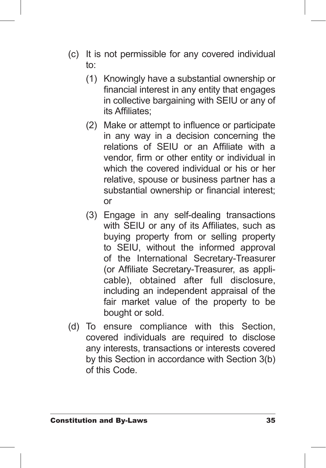- (c) It is not permissible for any covered individual to:
	- (1) Knowingly have a substantial ownership or financial interest in any entity that engages in collective bargaining with SEIU or any of its Affiliates;
	- (2) Make or attempt to influence or participate in any way in a decision concerning the relations of SEIU or an Affiliate with a vendor, firm or other entity or individual in which the covered individual or his or her relative, spouse or business partner has a substantial ownership or financial interest; or
	- (3) Engage in any self-dealing transactions with SEIU or any of its Affiliates, such as buying property from or selling property to SEIU, without the informed approval of the International Secretary-Treasurer (or Affiliate Secretary-Treasurer, as applicable), obtained after full disclosure, including an independent appraisal of the fair market value of the property to be bought or sold.
- (d) To ensure compliance with this Section, covered individuals are required to disclose any interests, transactions or interests covered by this Section in accordance with Section 3(b) of this Code.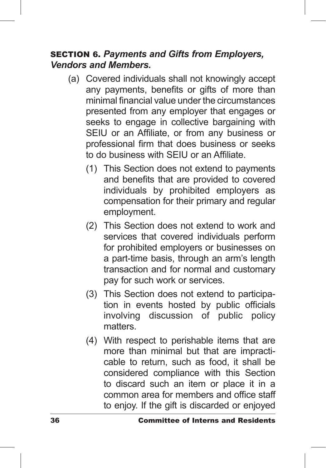## SECTION 6. *Payments and Gifts from Employers, Vendors and Members.*

- (a) Covered individuals shall not knowingly accept any payments, benefits or gifts of more than minimal financial value under the circumstances presented from any employer that engages or seeks to engage in collective bargaining with SEIU or an Affiliate, or from any business or professional firm that does business or seeks to do business with SEIU or an Affiliate.
	- (1) This Section does not extend to payments and benefits that are provided to covered individuals by prohibited employers as compensation for their primary and regular employment.
	- (2) This Section does not extend to work and services that covered individuals perform for prohibited employers or businesses on a part-time basis, through an arm's length transaction and for normal and customary pay for such work or services.
	- (3) This Section does not extend to participation in events hosted by public officials involving discussion of public policy matters.
	- (4) With respect to perishable items that are more than minimal but that are impracticable to return, such as food, it shall be considered compliance with this Section to discard such an item or place it in a common area for members and office staff to enjoy. If the gift is discarded or enjoyed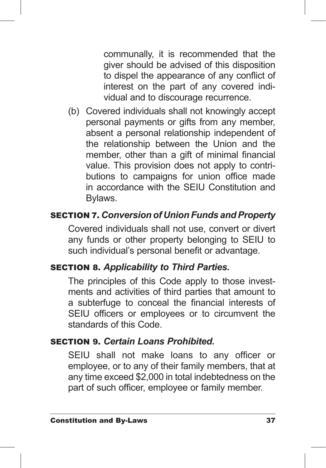communally, it is recommended that the giver should be advised of this disposition to dispel the appearance of any conflict of interest on the part of any covered individual and to discourage recurrence.

(b) Covered individuals shall not knowingly accept personal payments or gifts from any member, absent a personal relationship independent of the relationship between the Union and the member, other than a gift of minimal financial value. This provision does not apply to contributions to campaigns for union office made in accordance with the SEIU Constitution and Bylaws.

## SECTION 7. *Conversion of Union Funds and Property*

Covered individuals shall not use, convert or divert any funds or other property belonging to SEIU to such individual's personal benefit or advantage.

## SECTION 8. *Applicability to Third Parties.*

The principles of this Code apply to those investments and activities of third parties that amount to a subterfuge to conceal the financial interests of SEIU officers or employees or to circumvent the standards of this Code.

# SECTION 9. *Certain Loans Prohibited.*

SEIU shall not make loans to any officer or employee, or to any of their family members, that at any time exceed \$2,000 in total indebtedness on the part of such officer, employee or family member.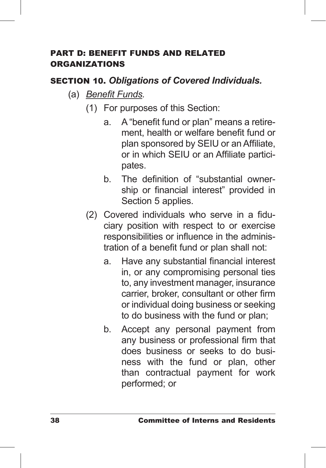#### PART D: BENEFIT FUNDS AND RELATED **ORGANIZATIONS**

## SECTION 10. *Obligations of Covered Individuals.*

- (a) *Benefit Funds.* 
	- (1) For purposes of this Section:
		- a. A "benefit fund or plan" means a retirement, health or welfare benefit fund or plan sponsored by SEIU or an Affiliate, or in which SEIU or an Affiliate participates.
		- b. The definition of "substantial ownership or financial interest" provided in Section 5 applies.
	- (2) Covered individuals who serve in a fiduciary position with respect to or exercise responsibilities or influence in the administration of a benefit fund or plan shall not:
		- a. Have any substantial financial interest in, or any compromising personal ties to, any investment manager, insurance carrier, broker, consultant or other firm or individual doing business or seeking to do business with the fund or plan;
		- b. Accept any personal payment from any business or professional firm that does business or seeks to do business with the fund or plan, other than contractual payment for work performed; or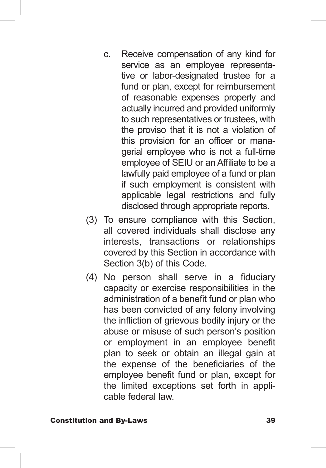- c. Receive compensation of any kind for service as an employee representative or labor-designated trustee for a fund or plan, except for reimbursement of reasonable expenses properly and actually incurred and provided uniformly to such representatives or trustees, with the proviso that it is not a violation of this provision for an officer or managerial employee who is not a full-time employee of SEIU or an Affiliate to be a lawfully paid employee of a fund or plan if such employment is consistent with applicable legal restrictions and fully disclosed through appropriate reports.
- (3) To ensure compliance with this Section, all covered individuals shall disclose any interests, transactions or relationships covered by this Section in accordance with Section 3(b) of this Code.
- (4) No person shall serve in a fiduciary capacity or exercise responsibilities in the administration of a benefit fund or plan who has been convicted of any felony involving the infliction of grievous bodily injury or the abuse or misuse of such person's position or employment in an employee benefit plan to seek or obtain an illegal gain at the expense of the beneficiaries of the employee benefit fund or plan, except for the limited exceptions set forth in applicable federal law.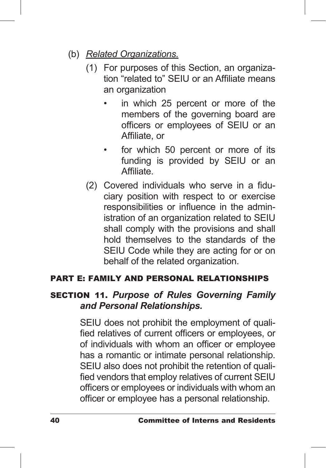- (b) *Related Organizations.*
	- (1) For purposes of this Section, an organization "related to" SEIU or an Affiliate means an organization
		- in which 25 percent or more of the members of the governing board are officers or employees of SEIU or an Affiliate, or
		- for which 50 percent or more of its funding is provided by SEIU or an Affiliate.
	- (2) Covered individuals who serve in a fiduciary position with respect to or exercise responsibilities or influence in the administration of an organization related to SEIU shall comply with the provisions and shall hold themselves to the standards of the SEIU Code while they are acting for or on behalf of the related organization.

#### PART E: FAMILY AND PERSONAL RELATIONSHIPS

## SECTION 11. *Purpose of Rules Governing Family and Personal Relationships.*

SEIU does not prohibit the employment of qualified relatives of current officers or employees, or of individuals with whom an officer or employee has a romantic or intimate personal relationship. SEIU also does not prohibit the retention of qualified vendors that employ relatives of current SEIU officers or employees or individuals with whom an officer or employee has a personal relationship.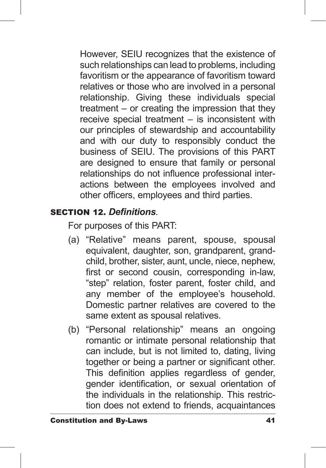However, SEIU recognizes that the existence of such relationships can lead to problems, including favoritism or the appearance of favoritism toward relatives or those who are involved in a personal relationship. Giving these individuals special treatment – or creating the impression that they receive special treatment – is inconsistent with our principles of stewardship and accountability and with our duty to responsibly conduct the business of SEIU. The provisions of this PART are designed to ensure that family or personal relationships do not influence professional interactions between the employees involved and other officers, employees and third parties.

#### SECTION 12. *Definitions.*

For purposes of this PART:

- (a) "Relative" means parent, spouse, spousal equivalent, daughter, son, grandparent, grandchild, brother, sister, aunt, uncle, niece, nephew, first or second cousin, corresponding in-law, "step" relation, foster parent, foster child, and any member of the employee's household. Domestic partner relatives are covered to the same extent as spousal relatives.
- (b) "Personal relationship" means an ongoing romantic or intimate personal relationship that can include, but is not limited to, dating, living together or being a partner or significant other. This definition applies regardless of gender, gender identification, or sexual orientation of the individuals in the relationship. This restriction does not extend to friends, acquaintances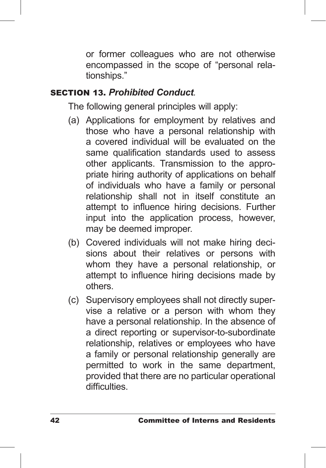or former colleagues who are not otherwise encompassed in the scope of "personal relationships."

#### SECTION 13. *Prohibited Conduct.*

The following general principles will apply:

- (a) Applications for employment by relatives and those who have a personal relationship with a covered individual will be evaluated on the same qualification standards used to assess other applicants. Transmission to the appropriate hiring authority of applications on behalf of individuals who have a family or personal relationship shall not in itself constitute an attempt to influence hiring decisions. Further input into the application process, however, may be deemed improper.
- (b) Covered individuals will not make hiring decisions about their relatives or persons with whom they have a personal relationship, or attempt to influence hiring decisions made by others.
- (c) Supervisory employees shall not directly supervise a relative or a person with whom they have a personal relationship. In the absence of a direct reporting or supervisor-to-subordinate relationship, relatives or employees who have a family or personal relationship generally are permitted to work in the same department, provided that there are no particular operational difficulties.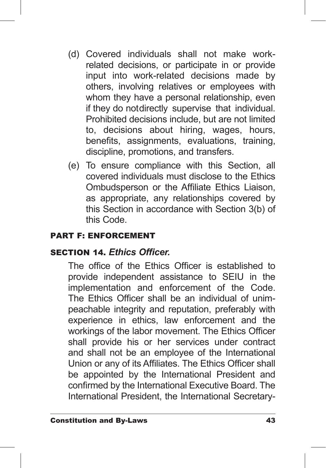- (d) Covered individuals shall not make workrelated decisions, or participate in or provide input into work-related decisions made by others, involving relatives or employees with whom they have a personal relationship, even if they do notdirectly supervise that individual. Prohibited decisions include, but are not limited to, decisions about hiring, wages, hours, benefits, assignments, evaluations, training, discipline, promotions, and transfers.
- (e) To ensure compliance with this Section, all covered individuals must disclose to the Ethics Ombudsperson or the Affiliate Ethics Liaison, as appropriate, any relationships covered by this Section in accordance with Section 3(b) of this Code.

#### PART F: ENFORCEMENT

#### SECTION 14. *Ethics Officer.*

The office of the Ethics Officer is established to provide independent assistance to SEIU in the implementation and enforcement of the Code. The Ethics Officer shall be an individual of unimpeachable integrity and reputation, preferably with experience in ethics, law enforcement and the workings of the labor movement. The Ethics Officer shall provide his or her services under contract and shall not be an employee of the International Union or any of its Affiliates. The Ethics Officer shall be appointed by the International President and confirmed by the International Executive Board. The International President, the International Secretary-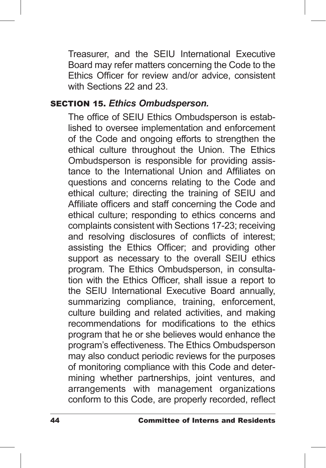Treasurer, and the SEIU International Executive Board may refer matters concerning the Code to the Ethics Officer for review and/or advice, consistent with Sections 22 and 23.

#### SECTION 15. *Ethics Ombudsperson.*

The office of SEIU Ethics Ombudsperson is established to oversee implementation and enforcement of the Code and ongoing efforts to strengthen the ethical culture throughout the Union. The Ethics Ombudsperson is responsible for providing assistance to the International Union and Affiliates on questions and concerns relating to the Code and ethical culture; directing the training of SEIU and Affiliate officers and staff concerning the Code and ethical culture; responding to ethics concerns and complaints consistent with Sections 17-23; receiving and resolving disclosures of conflicts of interest; assisting the Ethics Officer; and providing other support as necessary to the overall SEIU ethics program. The Ethics Ombudsperson, in consultation with the Ethics Officer, shall issue a report to the SEIU International Executive Board annually, summarizing compliance, training, enforcement, culture building and related activities, and making recommendations for modifications to the ethics program that he or she believes would enhance the program's effectiveness. The Ethics Ombudsperson may also conduct periodic reviews for the purposes of monitoring compliance with this Code and determining whether partnerships, joint ventures, and arrangements with management organizations conform to this Code, are properly recorded, reflect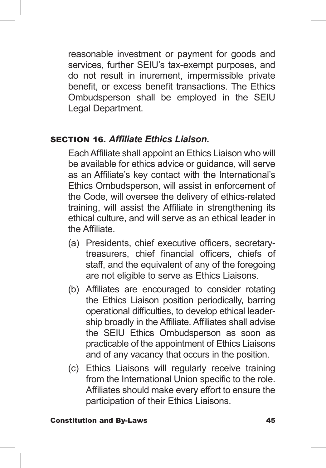reasonable investment or payment for goods and services, further SEIU's tax-exempt purposes, and do not result in inurement, impermissible private benefit, or excess benefit transactions. The Ethics Ombudsperson shall be employed in the SEIU Legal Department.

## SECTION 16. *Affiliate Ethics Liaison***.**

Each Affiliate shall appoint an Ethics Liaison who will be available for ethics advice or guidance, will serve as an Affiliate's key contact with the International's Ethics Ombudsperson, will assist in enforcement of the Code, will oversee the delivery of ethics-related training, will assist the Affiliate in strengthening its ethical culture, and will serve as an ethical leader in the Affiliate.

- (a) Presidents, chief executive officers, secretarytreasurers, chief financial officers, chiefs of staff, and the equivalent of any of the foregoing are not eligible to serve as Ethics Liaisons.
- (b) Affiliates are encouraged to consider rotating the Ethics Liaison position periodically, barring operational difficulties, to develop ethical leadership broadly in the Affiliate. Affiliates shall advise the SEIU Ethics Ombudsperson as soon as practicable of the appointment of Ethics Liaisons and of any vacancy that occurs in the position.
- (c) Ethics Liaisons will regularly receive training from the International Union specific to the role. Affiliates should make every effort to ensure the participation of their Ethics Liaisons.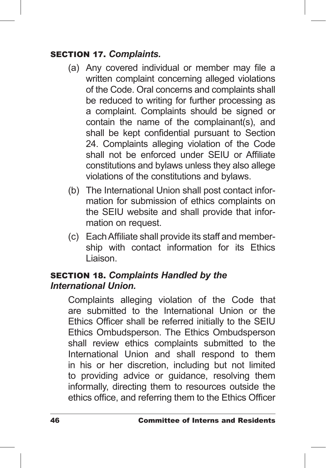#### SECTION 17. *Complaints.*

- (a) Any covered individual or member may file a written complaint concerning alleged violations of the Code. Oral concerns and complaints shall be reduced to writing for further processing as a complaint. Complaints should be signed or contain the name of the complainant(s), and shall be kept confidential pursuant to Section 24. Complaints alleging violation of the Code shall not be enforced under SEIU or Affiliate constitutions and bylaws unless they also allege violations of the constitutions and bylaws.
- (b) The International Union shall post contact information for submission of ethics complaints on the SEIU website and shall provide that information on request.
- (c) Each Affiliate shall provide its staff and membership with contact information for its Ethics Liaison.

# SECTION 18. *Complaints Handled by the International Union.*

Complaints alleging violation of the Code that are submitted to the International Union or the Ethics Officer shall be referred initially to the SEIU Ethics Ombudsperson. The Ethics Ombudsperson shall review ethics complaints submitted to the International Union and shall respond to them in his or her discretion, including but not limited to providing advice or guidance, resolving them informally, directing them to resources outside the ethics office, and referring them to the Ethics Officer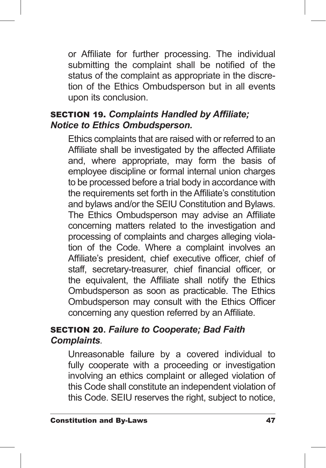or Affiliate for further processing. The individual submitting the complaint shall be notified of the status of the complaint as appropriate in the discretion of the Ethics Ombudsperson but in all events upon its conclusion.

#### SECTION 19. *Complaints Handled by Affiliate; Notice to Ethics Ombudsperson.*

Ethics complaints that are raised with or referred to an Affiliate shall be investigated by the affected Affiliate and, where appropriate, may form the basis of employee discipline or formal internal union charges to be processed before a trial body in accordance with the requirements set forth in the Affiliate's constitution and bylaws and/or the SEIU Constitution and Bylaws. The Ethics Ombudsperson may advise an Affiliate concerning matters related to the investigation and processing of complaints and charges alleging violation of the Code. Where a complaint involves an Affiliate's president, chief executive officer, chief of staff, secretary-treasurer, chief financial officer, or the equivalent, the Affiliate shall notify the Ethics Ombudsperson as soon as practicable. The Ethics Ombudsperson may consult with the Ethics Officer concerning any question referred by an Affiliate.

## SECTION 20**.** *Failure to Cooperate; Bad Faith Complaints.*

Unreasonable failure by a covered individual to fully cooperate with a proceeding or investigation involving an ethics complaint or alleged violation of this Code shall constitute an independent violation of this Code. SEIU reserves the right, subject to notice,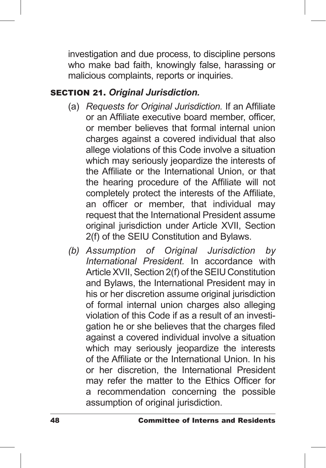investigation and due process, to discipline persons who make bad faith, knowingly false, harassing or malicious complaints, reports or inquiries.

#### SECTION 21. *Original Jurisdiction.*

- (a) *Requests for Original Jurisdiction.* If an Affiliate or an Affiliate executive board member, officer, or member believes that formal internal union charges against a covered individual that also allege violations of this Code involve a situation which may seriously jeopardize the interests of the Affiliate or the International Union, or that the hearing procedure of the Affiliate will not completely protect the interests of the Affiliate, an officer or member, that individual may request that the International President assume original jurisdiction under Article XVII, Section 2(f) of the SEIU Constitution and Bylaws.
- *(b) Assumption of Original Jurisdiction by International President.* In accordance with Article XVII, Section 2(f) of the SEIU Constitution and Bylaws, the International President may in his or her discretion assume original jurisdiction of formal internal union charges also alleging violation of this Code if as a result of an investigation he or she believes that the charges filed against a covered individual involve a situation which may seriously jeopardize the interests of the Affiliate or the International Union. In his or her discretion, the International President may refer the matter to the Ethics Officer for a recommendation concerning the possible assumption of original jurisdiction.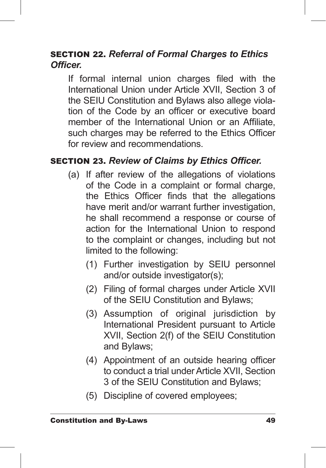## SECTION 22. *Referral of Formal Charges to Ethics Officer.*

If formal internal union charges filed with the International Union under Article XVII, Section 3 of the SEIU Constitution and Bylaws also allege violation of the Code by an officer or executive board member of the International Union or an Affiliate, such charges may be referred to the Ethics Officer for review and recommendations.

## SECTION 23. *Review of Claims by Ethics Officer.*

- (a) If after review of the allegations of violations of the Code in a complaint or formal charge, the Ethics Officer finds that the allegations have merit and/or warrant further investigation, he shall recommend a response or course of action for the International Union to respond to the complaint or changes, including but not limited to the following:
	- (1) Further investigation by SEIU personnel and/or outside investigator(s);
	- (2) Filing of formal charges under Article XVII of the SEIU Constitution and Bylaws;
	- (3) Assumption of original jurisdiction by International President pursuant to Article XVII, Section 2(f) of the SEIU Constitution and Bylaws;
	- (4) Appointment of an outside hearing officer to conduct a trial under Article XVII, Section 3 of the SEIU Constitution and Bylaws;
	- (5) Discipline of covered employees;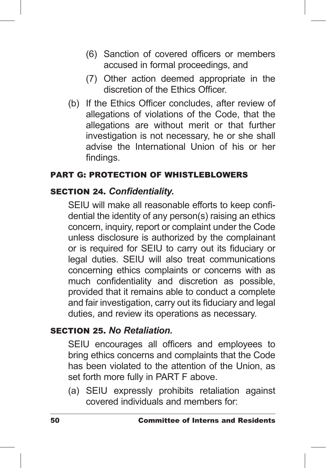- (6) Sanction of covered officers or members accused in formal proceedings, and
- (7) Other action deemed appropriate in the discretion of the Ethics Officer.
- (b) If the Ethics Officer concludes, after review of allegations of violations of the Code, that the allegations are without merit or that further investigation is not necessary, he or she shall advise the International Union of his or her findings.

#### PART G: PROTECTION OF WHISTLEBLOWERS

#### SECTION 24. *Confidentiality.*

SEIU will make all reasonable efforts to keep confidential the identity of any person(s) raising an ethics concern, inquiry, report or complaint under the Code unless disclosure is authorized by the complainant or is required for SEIU to carry out its fiduciary or legal duties. SEIU will also treat communications concerning ethics complaints or concerns with as much confidentiality and discretion as possible, provided that it remains able to conduct a complete and fair investigation, carry out its fiduciary and legal duties, and review its operations as necessary.

## SECTION 25. *No Retaliation.*

SEIU encourages all officers and employees to bring ethics concerns and complaints that the Code has been violated to the attention of the Union, as set forth more fully in PART F above.

(a) SEIU expressly prohibits retaliation against covered individuals and members for: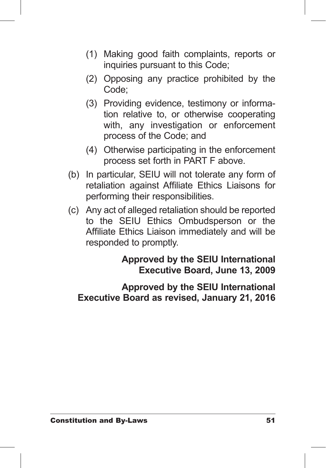- (1) Making good faith complaints, reports or inquiries pursuant to this Code;
- (2) Opposing any practice prohibited by the Code;
- (3) Providing evidence, testimony or information relative to, or otherwise cooperating with, any investigation or enforcement process of the Code; and
- (4) Otherwise participating in the enforcement process set forth in PART F above.
- (b) In particular, SEIU will not tolerate any form of retaliation against Affiliate Ethics Liaisons for performing their responsibilities.
- (c) Any act of alleged retaliation should be reported to the SEIU Ethics Ombudsperson or the Affiliate Ethics Liaison immediately and will be responded to promptly.

**Approved by the SEIU International Executive Board, June 13, 2009**

**Approved by the SEIU International Executive Board as revised, January 21, 2016**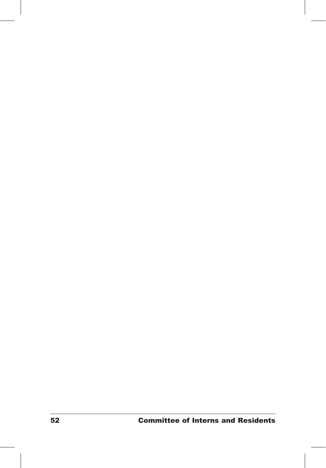Committee of Interns and Residents